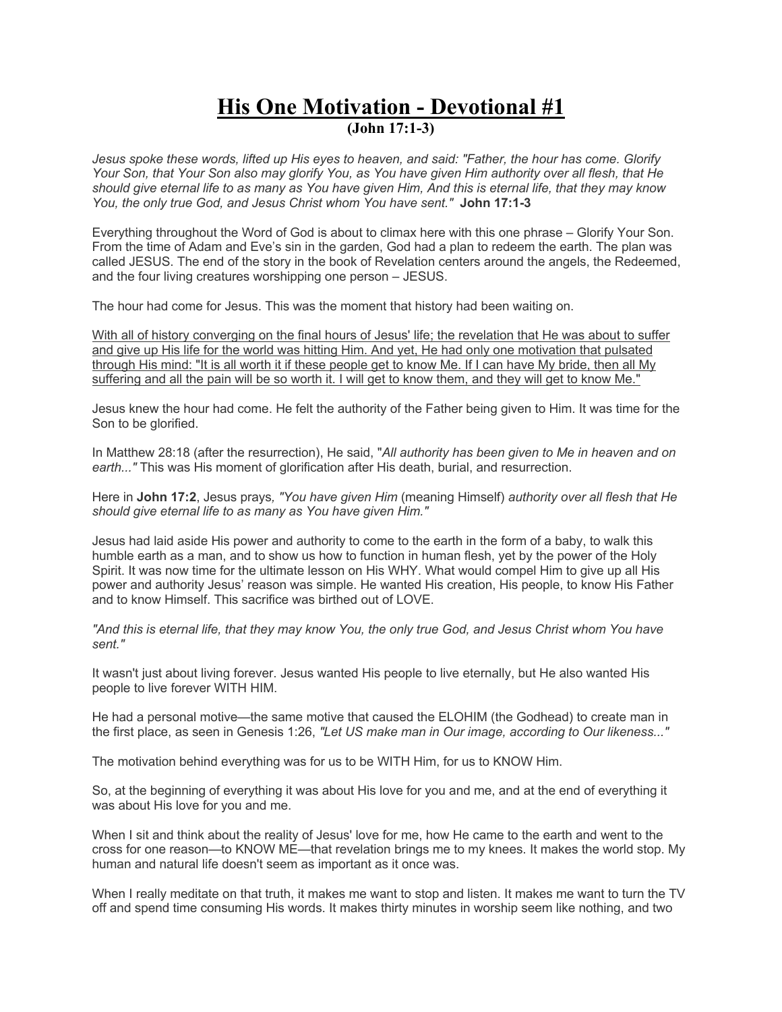## **His One Motivation - Devotional #1 (John 17:1-3)**

*Jesus spoke these words, lifted up His eyes to heaven, and said: "Father, the hour has come. Glorify Your Son, that Your Son also may glorify You, as You have given Him authority over all flesh, that He should give eternal life to as many as You have given Him, And this is eternal life, that they may know You, the only true God, and Jesus Christ whom You have sent."* **John 17:1-3**

Everything throughout the Word of God is about to climax here with this one phrase – Glorify Your Son. From the time of Adam and Eve's sin in the garden, God had a plan to redeem the earth. The plan was called JESUS. The end of the story in the book of Revelation centers around the angels, the Redeemed, and the four living creatures worshipping one person – JESUS.

The hour had come for Jesus. This was the moment that history had been waiting on.

With all of history converging on the final hours of Jesus' life; the revelation that He was about to suffer and give up His life for the world was hitting Him. And yet, He had only one motivation that pulsated through His mind: "It is all worth it if these people get to know Me. If I can have My bride, then all My suffering and all the pain will be so worth it. I will get to know them, and they will get to know Me."

Jesus knew the hour had come. He felt the authority of the Father being given to Him. It was time for the Son to be glorified.

In Matthew 28:18 (after the resurrection), He said, "*All authority has been given to Me in heaven and on earth..."* This was His moment of glorification after His death, burial, and resurrection.

Here in **John 17:2**, Jesus prays*, "You have given Him* (meaning Himself) *authority over all flesh that He should give eternal life to as many as You have given Him."*

Jesus had laid aside His power and authority to come to the earth in the form of a baby, to walk this humble earth as a man, and to show us how to function in human flesh, yet by the power of the Holy Spirit. It was now time for the ultimate lesson on His WHY. What would compel Him to give up all His power and authority Jesus' reason was simple. He wanted His creation, His people, to know His Father and to know Himself. This sacrifice was birthed out of LOVE.

*"And this is eternal life, that they may know You, the only true God, and Jesus Christ whom You have sent."*

It wasn't just about living forever. Jesus wanted His people to live eternally, but He also wanted His people to live forever WITH HIM.

He had a personal motive—the same motive that caused the ELOHIM (the Godhead) to create man in the first place, as seen in Genesis 1:26, *"Let US make man in Our image, according to Our likeness..."*

The motivation behind everything was for us to be WITH Him, for us to KNOW Him.

So, at the beginning of everything it was about His love for you and me, and at the end of everything it was about His love for you and me.

When I sit and think about the reality of Jesus' love for me, how He came to the earth and went to the cross for one reason—to KNOW ME—that revelation brings me to my knees. It makes the world stop. My human and natural life doesn't seem as important as it once was.

When I really meditate on that truth, it makes me want to stop and listen. It makes me want to turn the TV off and spend time consuming His words. It makes thirty minutes in worship seem like nothing, and two